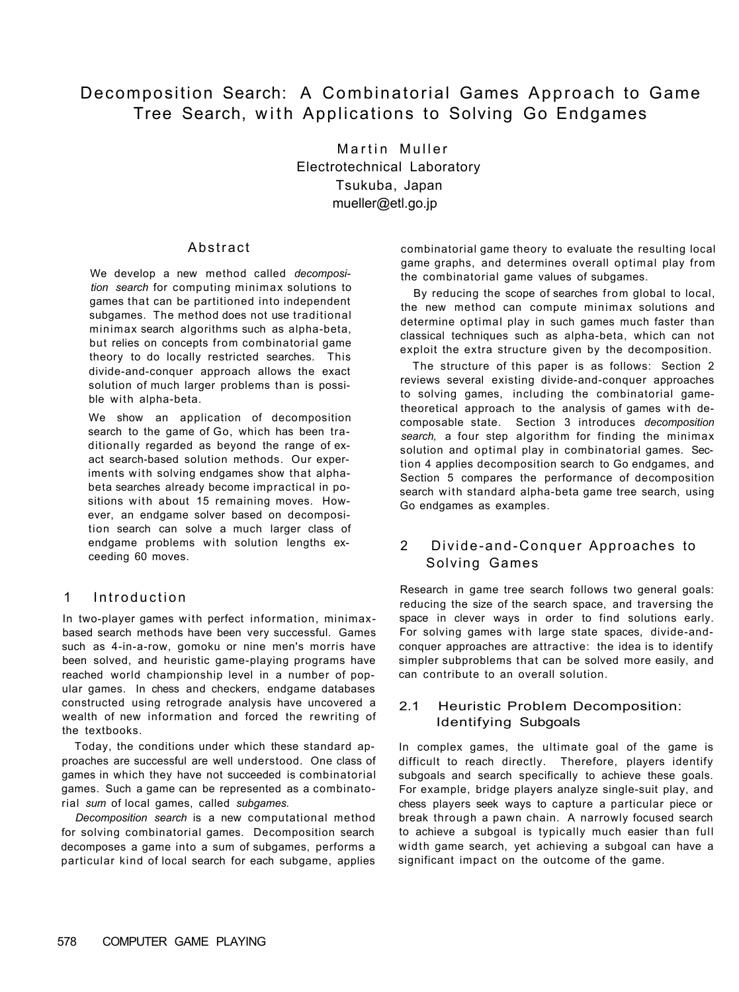# Decomposition Search: A Combinatorial Games Approach to Game Tree Search, with Applications to Solving Go Endgames

Martin Muller Electrotechnical Laboratory Tsukuba, Japan mueller@etl.go.jp

# Abstract

We develop a new method called *decomposition search* for computing minimax solutions to games that can be partitioned into independent subgames. The method does not use traditional minimax search algorithms such as alpha-beta, but relies on concepts from combinatorial game theory to do locally restricted searches. This divide-and-conquer approach allows the exact solution of much larger problems than is possible with alpha-beta.

We show an application of decomposition search to the game of Go, which has been traditionally regarded as beyond the range of exact search-based solution methods. Our experiments with solving endgames show that alphabeta searches already become impractical in positions with about 15 remaining moves. However, an endgame solver based on decomposition search can solve a much larger class of endgame problems with solution lengths exceeding 60 moves.

In two-player games with perfect information, minimaxbased search methods have been very successful. Games such as 4-in-a-row, gomoku or nine men's morris have been solved, and heuristic game-playing programs have reached world championship level in a number of popular games. In chess and checkers, endgame databases constructed using retrograde analysis have uncovered a wealth of new information and forced the rewriting of the textbooks.

Today, the conditions under which these standard approaches are successful are well understood. One class of games in which they have not succeeded is combinatorial games. Such a game can be represented as a combinatorial *sum* of local games, called *subgames.* 

*Decomposition search* is a new computational method for solving combinatorial games. Decomposition search decomposes a game into a sum of subgames, performs a particular kind of local search for each subgame, applies combinatorial game theory to evaluate the resulting local game graphs, and determines overall optimal play from the combinatorial game values of subgames.

By reducing the scope of searches from global to local, the new method can compute minimax solutions and determine optimal play in such games much faster than classical techniques such as alpha-beta, which can not exploit the extra structure given by the decomposition.

The structure of this paper is as follows: Section 2 reviews several existing divide-and-conquer approaches to solving games, including the combinatorial gametheoretical approach to the analysis of games with decomposable state. Section 3 introduces *decomposition search,* a four step algorithm for finding the minimax solution and optimal play in combinatorial games. Section 4 applies decomposition search to Go endgames, and Section 5 compares the performance of decomposition search with standard alpha-beta game tree search, using Go endgames as examples.

2 Divide-and-Conquer Approaches to Solving Games

# 1 Introduction

Research in game tree search follows two general goals: reducing the size of the search space, and traversing the space in clever ways in order to find solutions early. For solving games with large state spaces, divide-andconquer approaches are attractive: the idea is to identify simpler subproblems that can be solved more easily, and can contribute to an overall solution.

# 2.1 Heuristic Problem Decomposition: Identifying Subgoals

In complex games, the ultimate goal of the game is difficult to reach directly. Therefore, players identify subgoals and search specifically to achieve these goals. For example, bridge players analyze single-suit play, and chess players seek ways to capture a particular piece or break through a pawn chain. A narrowly focused search to achieve a subgoal is typically much easier than full width game search, yet achieving a subgoal can have a significant impact on the outcome of the game.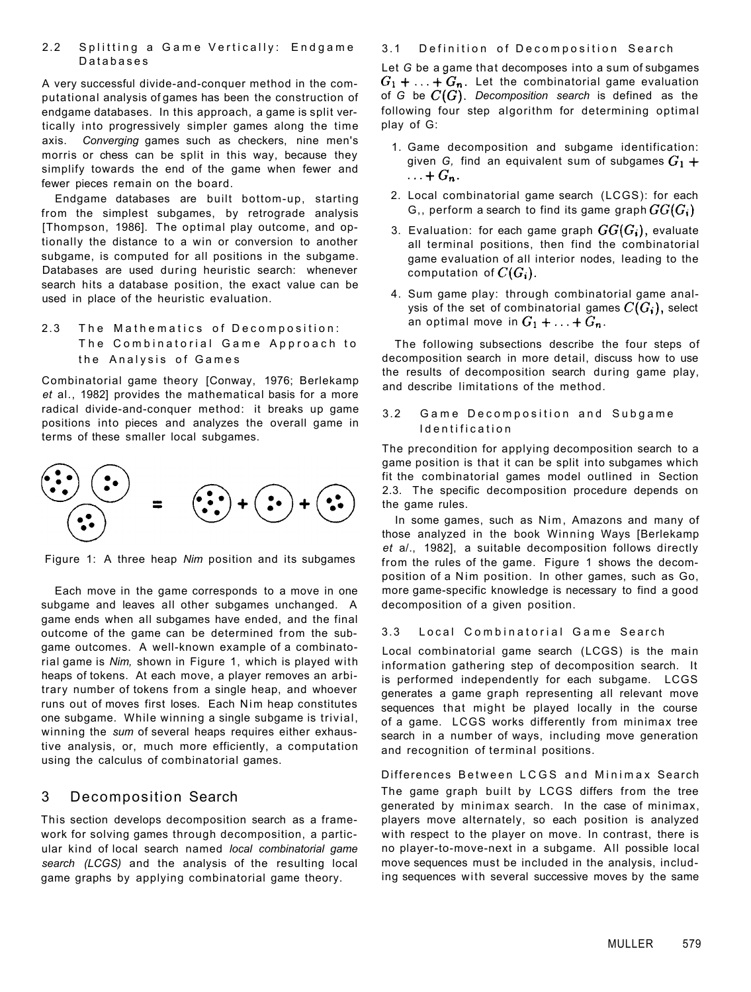## 2.2 Splitting a Game Vertically: Endgame Database s

A very successful divide-and-conquer method in the computational analysis of games has been the construction of endgame databases. In this approach, a game is split vertically into progressively simpler games along the time axis. *Converging* games such as checkers, nine men's morris or chess can be split in this way, because they simplify towards the end of the game when fewer and fewer pieces remain on the board.

Endgame databases are built bottom-up, starting from the simplest subgames, by retrograde analysis [Thompson, 1986]. The optimal play outcome, and optionally the distance to a win or conversion to another subgame, is computed for all positions in the subgame. Databases are used during heuristic search: whenever search hits a database position, the exact value can be used in place of the heuristic evaluation.

2.3 The Mathematics of Decomposition: The Combinatorial Game Approach to the Analysis of Games

Combinatorial game theory [Conway, 1976; Berlekamp *et* al., 1982] provides the mathematical basis for a more radical divide-and-conquer method: it breaks up game positions into pieces and analyzes the overall game in terms of these smaller local subgames.

- 1. Game decomposition and subgame identification: given *G*, find an equivalent sum of subgames  $G_1$  +  $\ldots + G_n$ .
- 2. Local combinatorial game search (LCGS): for each G,, perform a search to find its game graph  $GG(G_i)$
- 3. Evaluation: for each game graph  $GG(G_i)$ , evaluate all terminal positions, then find the combinatorial game evaluation of all interior nodes, leading to the computation of  $C(G_i)$ .
- 4. Sum game play: through combinatorial game analysis of the set of combinatorial games  $C(G_i)$ , select an optimal move in  $G_1 + \ldots + G_n$ .



Figure 1: A three heap *Nim* position and its subgames

## 3.1 Definition of Decomposition Search

## 3.2 Game Decomposition and Subgame Identificatio n

Each move in the game corresponds to a move in one subgame and leaves all other subgames unchanged. A game ends when all subgames have ended, and the final outcome of the game can be determined from the subgame outcomes. A well-known example of a combinatorial game is *Nim,* shown in Figure 1, which is played with heaps of tokens. At each move, a player removes an arbitrary number of tokens from a single heap, and whoever runs out of moves first loses. Each Nim heap constitutes one subgame. While winning a single subgame is trivial, winning the *sum* of several heaps requires either exhaustive analysis, or, much more efficiently, a computation using the calculus of combinatorial games.

In some games, such as Nim, Amazons and many of those analyzed in the book Winning Ways [Berlekamp *et* a/., 1982], a suitable decomposition follows directly from the rules of the game. Figure 1 shows the decomposition of a Nim position. In other games, such as Go, more game-specific knowledge is necessary to find a good decomposition of a given position.

# 3 Decomposition Search

This section develops decomposition search as a framework for solving games through decomposition, a particular kind of local search named *local combinatorial game search (LCGS)* and the analysis of the resulting local game graphs by applying combinatorial game theory.

#### 3.3 Local Combinatorial Game Search

Differences Between LCGS and Minimax Search The game graph built by LCGS differs from the tree generated by minimax search. In the case of minimax, players move alternately, so each position is analyzed with respect to the player on move. In contrast, there is no player-to-move-next in a subgame. All possible local move sequences must be included in the analysis, including sequences with several successive moves by the same

Let *G* be a game that decomposes into a sum of subgames  $G_1 + \ldots + G_n$ . Let the combinatorial game evaluation of *G* be *Decomposition search* is defined as the following four step algorithm for determining optimal play of G:

The following subsections describe the four steps of decomposition search in more detail, discuss how to use the results of decomposition search during game play, and describe limitations of the method.

The precondition for applying decomposition search to a game position is that it can be split into subgames which fit the combinatorial games model outlined in Section 2.3. The specific decomposition procedure depends on the game rules.

Local combinatorial game search (LCGS) is the main information gathering step of decomposition search. It is performed independently for each subgame. LCGS generates a game graph representing all relevant move sequences that might be played locally in the course of a game. LCGS works differently from minimax tree search in a number of ways, including move generation and recognition of terminal positions.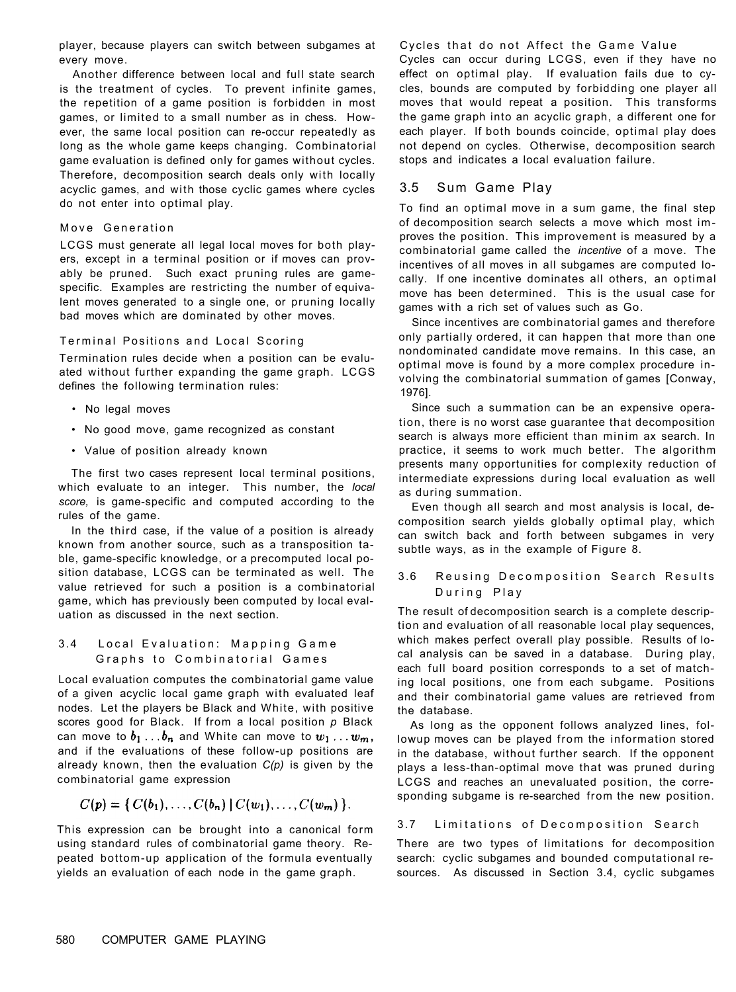player, because players can switch between subgames at every move.

Another difference between local and full state search is the treatment of cycles. To prevent infinite games, the repetition of a game position is forbidden in most games, or limited to a small number as in chess. However, the same local position can re-occur repeatedly as long as the whole game keeps changing. Combinatorial game evaluation is defined only for games without cycles. Therefore, decomposition search deals only with locally acyclic games, and with those cyclic games where cycles do not enter into optimal play.

#### Move Generation

LCGS must generate all legal local moves for both players, except in a terminal position or if moves can provably be pruned. Such exact pruning rules are gamespecific. Examples are restricting the number of equivalent moves generated to a single one, or pruning locally bad moves which are dominated by other moves.

### Terminal Positions and Local Scoring

Termination rules decide when a position can be evaluated without further expanding the game graph. LCGS defines the following termination rules:

- No legal moves
- No good move, game recognized as constant
- Value of position already known

The first two cases represent local terminal positions, which evaluate to an integer. This number, the *local score,* is game-specific and computed according to the rules of the game.

Cycles that do not Affect the Game Value Cycles can occur during LCGS, even if they have no effect on optimal play. If evaluation fails due to cycles, bounds are computed by forbidding one player all moves that would repeat a position. This transforms the game graph into an acyclic graph, a different one for each player. If both bounds coincide, optimal play does not depend on cycles. Otherwise, decomposition search stops and indicates a local evaluation failure.

In the third case, if the value of a position is already known from another source, such as a transposition table, game-specific knowledge, or a precomputed local position database, LCGS can be terminated as well. The value retrieved for such a position is a combinatorial game, which has previously been computed by local evaluation as discussed in the next section.

Local evaluation computes the combinatorial game value of a given acyclic local game graph with evaluated leaf nodes. Let the players be Black and White, with positive scores good for Black. If from a local position *p* Black can move to  $b_1 \ldots b_n$  and White can move to  $w_1 \ldots w_m$ , and if the evaluations of these follow-up positions are already known, then the evaluation *C(p)* is given by the combinatorial game expression

 $C(p) = \{ C(b_1), \ldots, C(b_n) \mid C(w_1), \ldots, C(w_m) \}.$ 

This expression can be brought into a canonical form using standard rules of combinatorial game theory. Repeated bottom-up application of the formula eventually yields an evaluation of each node in the game graph.

## During Play

# 3.5 Sum Game Play

To find an optimal move in a sum game, the final step of decomposition search selects a move which most improves the position. This improvement is measured by a combinatorial game called the *incentive* of a move. The incentives of all moves in all subgames are computed locally. If one incentive dominates all others, an optimal move has been determined. This is the usual case for games with a rich set of values such as Go.

Since incentives are combinatorial games and therefore only partially ordered, it can happen that more than one nondominated candidate move remains. In this case, an optimal move is found by a more complex procedure involving the combinatorial summation of games [Conway, 1976].

Since such a summation can be an expensive operation, there is no worst case guarantee that decomposition search is always more efficient than minim ax search. In practice, it seems to work much better. The algorithm presents many opportunities for complexity reduction of intermediate expressions during local evaluation as well as during summation.

Even though all search and most analysis is local, decomposition search yields globally optimal play, which can switch back and forth between subgames in very subtle ways, as in the example of Figure 8.

### 3.6 Reusing Decomposition Search Results

# 3.4 Local Evaluation: Mapping Game Graphs to Combinatorial Games

The result of decomposition search is a complete description and evaluation of all reasonable local play sequences, which makes perfect overall play possible. Results of local analysis can be saved in a database. During play, each full board position corresponds to a set of matching local positions, one from each subgame. Positions and their combinatorial game values are retrieved from the database.

As long as the opponent follows analyzed lines, followup moves can be played from the information stored in the database, without further search. If the opponent plays a less-than-optimal move that was pruned during LCGS and reaches an unevaluated position, the corresponding subgame is re-searched from the new position.

## 3.7 Limitations of Decomposition Search

There are two types of limitations for decomposition search: cyclic subgames and bounded computational resources. As discussed in Section 3.4, cyclic subgames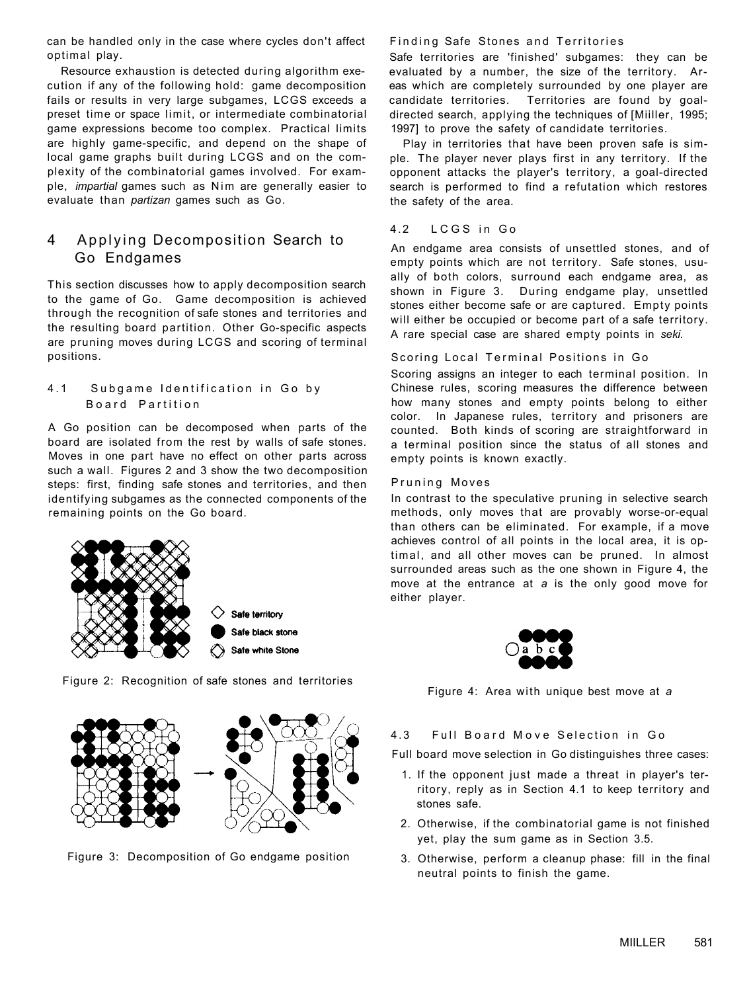can be handled only in the case where cycles don't affect optimal play.

Resource exhaustion is detected during algorithm execution if any of the following hold: game decomposition fails or results in very large subgames, LCGS exceeds a preset time or space limit, or intermediate combinatorial game expressions become too complex. Practical limits are highly game-specific, and depend on the shape of local game graphs built during LCGS and on the complexity of the combinatorial games involved. For example, *impartial* games such as Nim are generally easier to evaluate than *partizan* games such as Go.

# 4 Applying Decomposition Search to Go Endgames

This section discusses how to apply decomposition search to the game of Go. Game decomposition is achieved through the recognition of safe stones and territories and the resulting board partition. Other Go-specific aspects are pruning moves during LCGS and scoring of terminal positions.

## 4.1 Subgame Identification in Go by Board Partition

A Go position can be decomposed when parts of the board are isolated from the rest by walls of safe stones. Moves in one part have no effect on other parts across such a wall. Figures 2 and 3 show the two decomposition steps: first, finding safe stones and territories, and then identifying subgames as the connected components of the remaining points on the Go board.



## Finding Safe Stones and Territories

Figure 2: Recognition of safe stones and territories



Figure 3: Decomposition of Go endgame position

Safe territories are 'finished' subgames: they can be evaluated by a number, the size of the territory. Areas which are completely surrounded by one player are candidate territories. Territories are found by goaldirected search, applying the techniques of [Miiller, 1995; 1997] to prove the safety of candidate territories.

Play in territories that have been proven safe is simple. The player never plays first in any territory. If the opponent attacks the player's territory, a goal-directed search is performed to find a refutation which restores the safety of the area.

## 4.2 LCGS in Go

An endgame area consists of unsettled stones, and of empty points which are not territory. Safe stones, usually of both colors, surround each endgame area, as shown in Figure 3. During endgame play, unsettled stones either become safe or are captured. Empty points will either be occupied or become part of a safe territory. A rare special case are shared empty points in *seki.* 

## Scoring Local Terminal Positions in Go

Scoring assigns an integer to each terminal position. In Chinese rules, scoring measures the difference between how many stones and empty points belong to either color. In Japanese rules, territory and prisoners are counted. Both kinds of scoring are straightforward in a terminal position since the status of all stones and empty points is known exactly.

### Pruning Moves

In contrast to the speculative pruning in selective search methods, only moves that are provably worse-or-equal than others can be eliminated. For example, if a move achieves control of all points in the local area, it is optimal, and all other moves can be pruned. In almost surrounded areas such as the one shown in Figure 4, the move at the entrance at *a* is the only good move for

Safe territory Safe black stone Safe white Stone either player.



Figure 4: Area with unique best move at *a* 

## 4.3 Full Board Move Selection in Go

Full board move selection in Go distinguishes three cases:

- 1. If the opponent just made a threat in player's territory, reply as in Section 4.1 to keep territory and stones safe.
- 2. Otherwise, if the combinatorial game is not finished yet, play the sum game as in Section 3.5.
- 3. Otherwise, perform a cleanup phase: fill in the final neutral points to finish the game.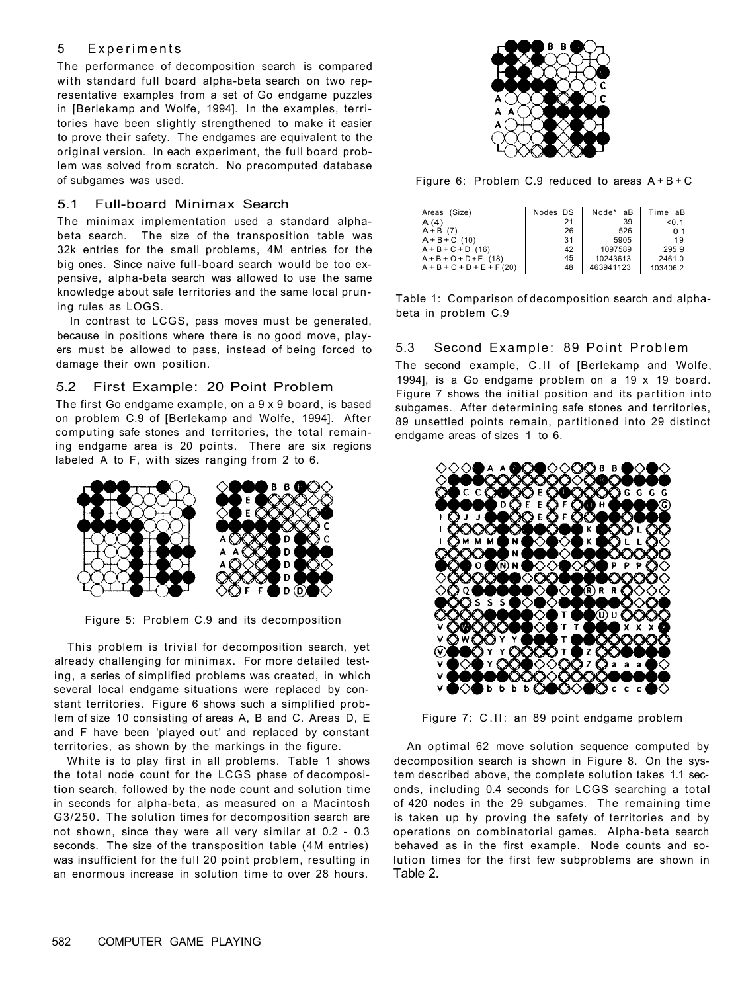# 5 Experiments

The performance of decomposition search is compared with standard full board alpha-beta search on two representative examples from a set of Go endgame puzzles in [Berlekamp and Wolfe, 1994]. In the examples, territories have been slightly strengthened to make it easier to prove their safety. The endgames are equivalent to the original version. In each experiment, the full board problem was solved from scratch. No precomputed database of subgames was used.

## 5.1 Full-board Minimax Search

The minimax implementation used a standard alphabeta search. The size of the transposition table was 32k entries for the small problems, 4M entries for the big ones. Since naive full-board search would be too expensive, alpha-beta search was allowed to use the same knowledge about safe territories and the same local pruning rules as LOGS.

In contrast to LCGS, pass moves must be generated, because in positions where there is no good move, players must be allowed to pass, instead of being forced to damage their own position.

# 5.2 First Example: 20 Point Problem

The first Go endgame example, on a 9 x 9 board, is based on problem C.9 of [Berlekamp and Wolfe, 1994]. After computing safe stones and territories, the total remaining endgame area is 20 points. There are six regions labeled A to F, with sizes ranging from 2 to 6.





Figure 6: Problem C.9 reduced to areas  $A + B + C$ 

Figure 5: Problem C.9 and its decomposition

The second example, C.II of [Berlekamp and Wolfe, 1994], is a Go endgame problem on a 19 x 19 board. Figure 7 shows the initial position and its partition into subgames. After determining safe stones and territories, 89 unsettled points remain, partitioned into 29 distinct endgame areas of sizes 1 to 6.



 $\circ$  FF  $\bullet$  D  $\circ$   $\circ$ 

This problem is trivial for decomposition search, yet already challenging for minimax. For more detailed testing, a series of simplified problems was created, in which several local endgame situations were replaced by constant territories. Figure 6 shows such a simplified problem of size 10 consisting of areas A, B and C. Areas D, E and F have been 'played out' and replaced by constant territories, as shown by the markings in the figure.

White is to play first in all problems. Table 1 shows the total node count for the LCGS phase of decomposition search, followed by the node count and solution time in seconds for alpha-beta, as measured on a Macintosh G3/250. The solution times for decomposition search are not shown, since they were all very similar at 0.2 - 0.3 seconds. The size of the transposition table (4M entries) was insufficient for the full 20 point problem, resulting in an enormous increase in solution time to over 28 hours.

Figure 7: C.II: an 89 point endgame problem

| Areas (Size)                 | Nodes DS | Node* aB  | Time aB  |
|------------------------------|----------|-----------|----------|
| A(4)                         | 21       | 39        | < 0.1    |
| $A + B$ (7)                  | 26       | 526       | 0.1      |
| $A + B + C$ (10)             | 31       | 5905      | 19       |
| $A + B + C + D$ (16)         | 42       | 1097589   | 2959     |
| $A + B + O + D + E$ (18)     | 45       | 10243613  | 2461.0   |
| $A + B + C + D + E + F (20)$ | 48       | 463941123 | 103406.2 |

Table 1: Comparison of decomposition search and alphabeta in problem C.9

# 5.3 Second Example: 89 Point Problem

An optimal 62 move solution sequence computed by decomposition search is shown in Figure 8. On the system described above, the complete solution takes 1.1 seconds, including 0.4 seconds for LCGS searching a total of 420 nodes in the 29 subgames. The remaining time is taken up by proving the safety of territories and by operations on combinatorial games. Alpha-beta search behaved as in the first example. Node counts and solution times for the first few subproblems are shown in Table 2.